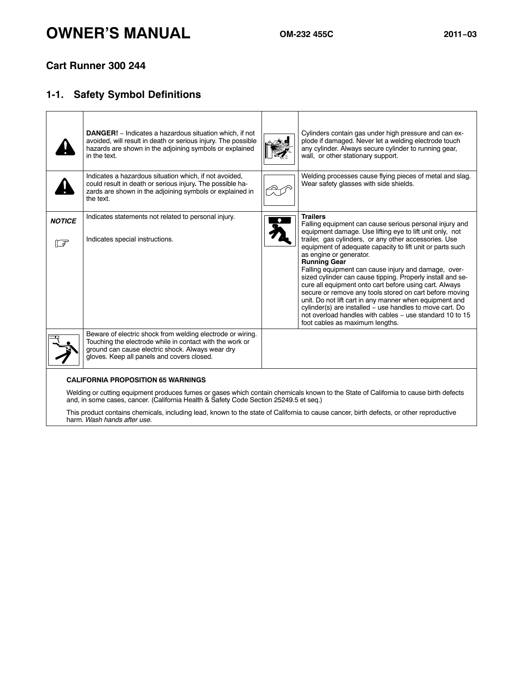# **OWNER'S MANUAL OM-232 455C 2011−<sup>03</sup>**

## **Cart Runner 300 244**

# **1-1. Safety Symbol Definitions**

|                      |                                                                                                                                                                                              | Cylinders contain gas under high pressure and can ex-<br>plode if damaged. Never let a welding electrode touch<br>any cylinder. Always secure cylinder to running gear,<br>wall, or other stationary support.                                                                                                                                                                                                                                                                                                                                                                                                                                                                                                                                                                   |
|----------------------|----------------------------------------------------------------------------------------------------------------------------------------------------------------------------------------------|---------------------------------------------------------------------------------------------------------------------------------------------------------------------------------------------------------------------------------------------------------------------------------------------------------------------------------------------------------------------------------------------------------------------------------------------------------------------------------------------------------------------------------------------------------------------------------------------------------------------------------------------------------------------------------------------------------------------------------------------------------------------------------|
|                      | Indicates a hazardous situation which, if not avoided,<br>could result in death or serious injury. The possible ha-<br>zards are shown in the adjoining symbols or explained in<br>the text. | Welding processes cause flying pieces of metal and slag.<br>Wear safety glasses with side shields.                                                                                                                                                                                                                                                                                                                                                                                                                                                                                                                                                                                                                                                                              |
| <b>NOTICE</b><br>।⊂₹ | Indicates statements not related to personal injury.<br>Indicates special instructions.                                                                                                      | <b>Trailers</b><br>Falling equipment can cause serious personal injury and<br>equipment damage. Use lifting eye to lift unit only, not<br>trailer, gas cylinders, or any other accessories. Use<br>equipment of adequate capacity to lift unit or parts such<br>as engine or generator.<br><b>Running Gear</b><br>Falling equipment can cause injury and damage, over-<br>sized cylinder can cause tipping. Properly install and se-<br>cure all equipment onto cart before using cart. Always<br>secure or remove any tools stored on cart before moving<br>unit. Do not lift cart in any manner when equipment and<br>cylinder(s) are installed – use handles to move cart. Do<br>not overload handles with cables - use standard 10 to 15<br>foot cables as maximum lengths. |
|                      |                                                                                                                                                                                              |                                                                                                                                                                                                                                                                                                                                                                                                                                                                                                                                                                                                                                                                                                                                                                                 |
|                      |                                                                                                                                                                                              |                                                                                                                                                                                                                                                                                                                                                                                                                                                                                                                                                                                                                                                                                                                                                                                 |

#### **CALIFORNIA PROPOSITION 65 WARNINGS**

Welding or cutting equipment produces fumes or gases which contain chemicals known to the State of California to cause birth defects and, in some cases, cancer. (California Health & Safety Code Section 25249.5 et seq.)

This product contains chemicals, including lead, known to the state of California to cause cancer, birth defects, or other reproductive harm. *Wash hands after use.*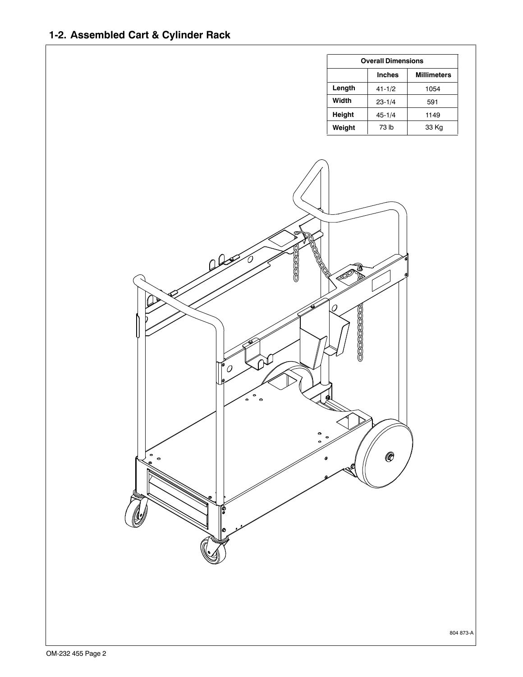| <b>Overall Dimensions</b> |               |                    |  |  |
|---------------------------|---------------|--------------------|--|--|
|                           | <b>Inches</b> | <b>Millimeters</b> |  |  |
| Length                    | $41 - 1/2$    | 1054               |  |  |
| Width                     | $23 - 1/4$    | 591                |  |  |
| Height                    | $45 - 1/4$    | 1149               |  |  |
| Weight                    | 73 lb         | 33 Kg              |  |  |



804 873-A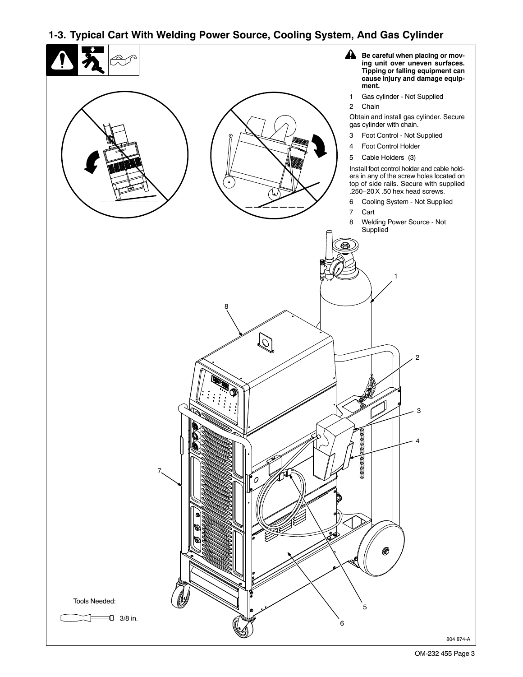# **1-3. Typical Cart With Welding Power Source, Cooling System, And Gas Cylinder**